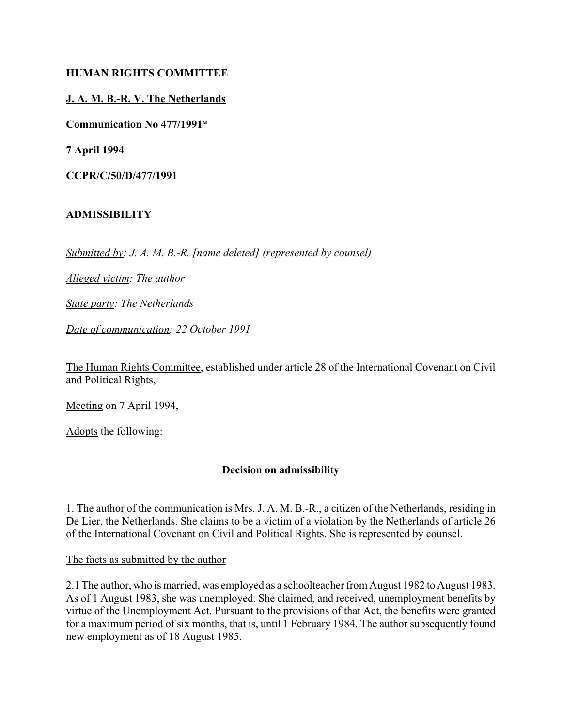#### **HUMAN RIGHTS COMMITTEE**

#### **J. A. M. B.-R. V. The Netherlands**

**Communication No 477/1991\***

**7 April 1994**

**CCPR/C/50/D/477/1991**

#### **ADMISSIBILITY**

*Submitted by: J. A. M. B.-R. [name deleted] (represented by counsel)* 

*Alleged victim: The author* 

*State party: The Netherlands* 

*Date of communication: 22 October 1991* 

The Human Rights Committee, established under article 28 of the International Covenant on Civil and Political Rights,

Meeting on 7 April 1994,

Adopts the following:

## **Decision on admissibility**

1. The author of the communication is Mrs. J. A. M. B.-R., a citizen of the Netherlands, residing in De Lier, the Netherlands. She claims to be a victim of a violation by the Netherlands of article 26 of the International Covenant on Civil and Political Rights. She is represented by counsel.

The facts as submitted by the author

2.1 The author, who is married, was employed as a schoolteacher from August 1982 to August 1983. As of 1 August 1983, she was unemployed. She claimed, and received, unemployment benefits by virtue of the Unemployment Act. Pursuant to the provisions of that Act, the benefits were granted for a maximum period of six months, that is, until 1 February 1984. The author subsequently found new employment as of 18 August 1985.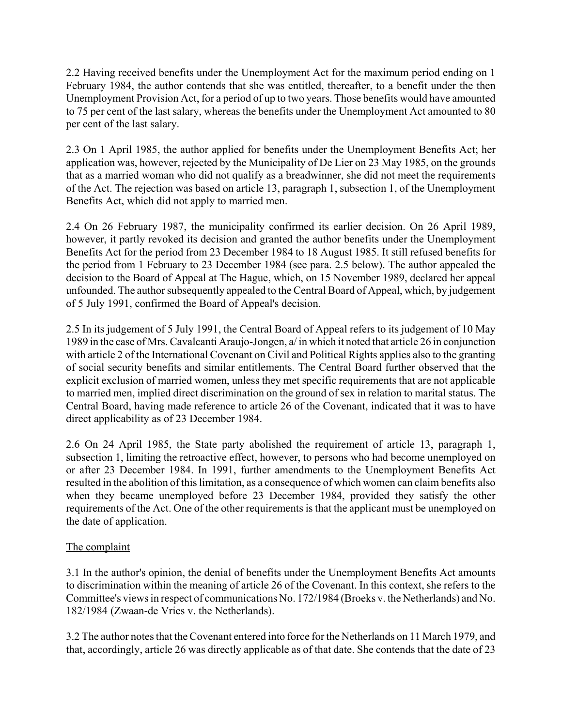2.2 Having received benefits under the Unemployment Act for the maximum period ending on 1 February 1984, the author contends that she was entitled, thereafter, to a benefit under the then Unemployment Provision Act, for a period of up to two years. Those benefits would have amounted to 75 per cent of the last salary, whereas the benefits under the Unemployment Act amounted to 80 per cent of the last salary.

2.3 On 1 April 1985, the author applied for benefits under the Unemployment Benefits Act; her application was, however, rejected by the Municipality of De Lier on 23 May 1985, on the grounds that as a married woman who did not qualify as a breadwinner, she did not meet the requirements of the Act. The rejection was based on article 13, paragraph 1, subsection 1, of the Unemployment Benefits Act, which did not apply to married men.

2.4 On 26 February 1987, the municipality confirmed its earlier decision. On 26 April 1989, however, it partly revoked its decision and granted the author benefits under the Unemployment Benefits Act for the period from 23 December 1984 to 18 August 1985. It still refused benefits for the period from 1 February to 23 December 1984 (see para. 2.5 below). The author appealed the decision to the Board of Appeal at The Hague, which, on 15 November 1989, declared her appeal unfounded. The author subsequently appealed to the Central Board of Appeal, which, by judgement of 5 July 1991, confirmed the Board of Appeal's decision.

2.5 In its judgement of 5 July 1991, the Central Board of Appeal refers to its judgement of 10 May 1989 in the case of Mrs. Cavalcanti Araujo-Jongen, a/ in which it noted that article 26 in conjunction with article 2 of the International Covenant on Civil and Political Rights applies also to the granting of social security benefits and similar entitlements. The Central Board further observed that the explicit exclusion of married women, unless they met specific requirements that are not applicable to married men, implied direct discrimination on the ground of sex in relation to marital status. The Central Board, having made reference to article 26 of the Covenant, indicated that it was to have direct applicability as of 23 December 1984.

2.6 On 24 April 1985, the State party abolished the requirement of article 13, paragraph 1, subsection 1, limiting the retroactive effect, however, to persons who had become unemployed on or after 23 December 1984. In 1991, further amendments to the Unemployment Benefits Act resulted in the abolition of this limitation, as a consequence of which women can claim benefits also when they became unemployed before 23 December 1984, provided they satisfy the other requirements of the Act. One of the other requirements is that the applicant must be unemployed on the date of application.

## The complaint

3.1 In the author's opinion, the denial of benefits under the Unemployment Benefits Act amounts to discrimination within the meaning of article 26 of the Covenant. In this context, she refers to the Committee's views in respect of communications No. 172/1984 (Broeks v. the Netherlands) and No. 182/1984 (Zwaan-de Vries v. the Netherlands).

3.2 The author notes that the Covenant entered into force for the Netherlands on 11 March 1979, and that, accordingly, article 26 was directly applicable as of that date. She contends that the date of 23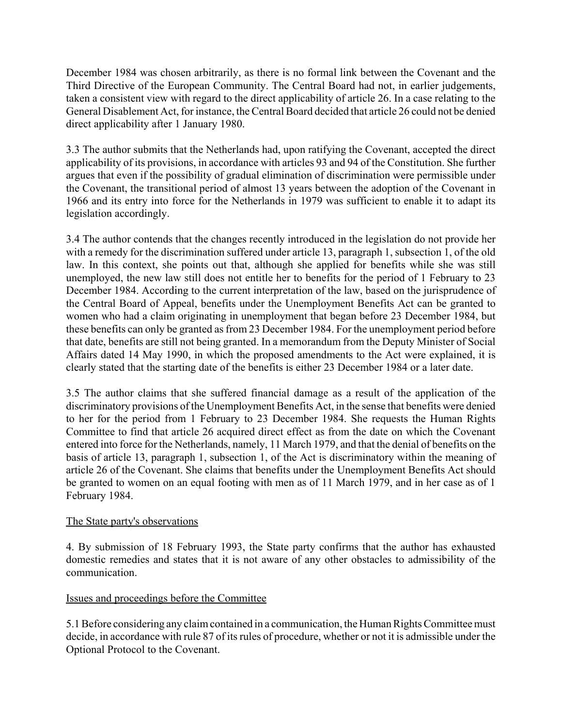December 1984 was chosen arbitrarily, as there is no formal link between the Covenant and the Third Directive of the European Community. The Central Board had not, in earlier judgements, taken a consistent view with regard to the direct applicability of article 26. In a case relating to the General Disablement Act, for instance, the Central Board decided that article 26 could not be denied direct applicability after 1 January 1980.

3.3 The author submits that the Netherlands had, upon ratifying the Covenant, accepted the direct applicability of its provisions, in accordance with articles 93 and 94 of the Constitution. She further argues that even if the possibility of gradual elimination of discrimination were permissible under the Covenant, the transitional period of almost 13 years between the adoption of the Covenant in 1966 and its entry into force for the Netherlands in 1979 was sufficient to enable it to adapt its legislation accordingly.

3.4 The author contends that the changes recently introduced in the legislation do not provide her with a remedy for the discrimination suffered under article 13, paragraph 1, subsection 1, of the old law. In this context, she points out that, although she applied for benefits while she was still unemployed, the new law still does not entitle her to benefits for the period of 1 February to 23 December 1984. According to the current interpretation of the law, based on the jurisprudence of the Central Board of Appeal, benefits under the Unemployment Benefits Act can be granted to women who had a claim originating in unemployment that began before 23 December 1984, but these benefits can only be granted as from 23 December 1984. For the unemployment period before that date, benefits are still not being granted. In a memorandum from the Deputy Minister of Social Affairs dated 14 May 1990, in which the proposed amendments to the Act were explained, it is clearly stated that the starting date of the benefits is either 23 December 1984 or a later date.

3.5 The author claims that she suffered financial damage as a result of the application of the discriminatory provisions of the Unemployment Benefits Act, in the sense that benefits were denied to her for the period from 1 February to 23 December 1984. She requests the Human Rights Committee to find that article 26 acquired direct effect as from the date on which the Covenant entered into force for the Netherlands, namely, 11 March 1979, and that the denial of benefits on the basis of article 13, paragraph 1, subsection 1, of the Act is discriminatory within the meaning of article 26 of the Covenant. She claims that benefits under the Unemployment Benefits Act should be granted to women on an equal footing with men as of 11 March 1979, and in her case as of 1 February 1984.

## The State party's observations

4. By submission of 18 February 1993, the State party confirms that the author has exhausted domestic remedies and states that it is not aware of any other obstacles to admissibility of the communication.

## Issues and proceedings before the Committee

5.1 Before considering any claim contained in a communication, the Human Rights Committee must decide, in accordance with rule 87 of its rules of procedure, whether or not it is admissible under the Optional Protocol to the Covenant.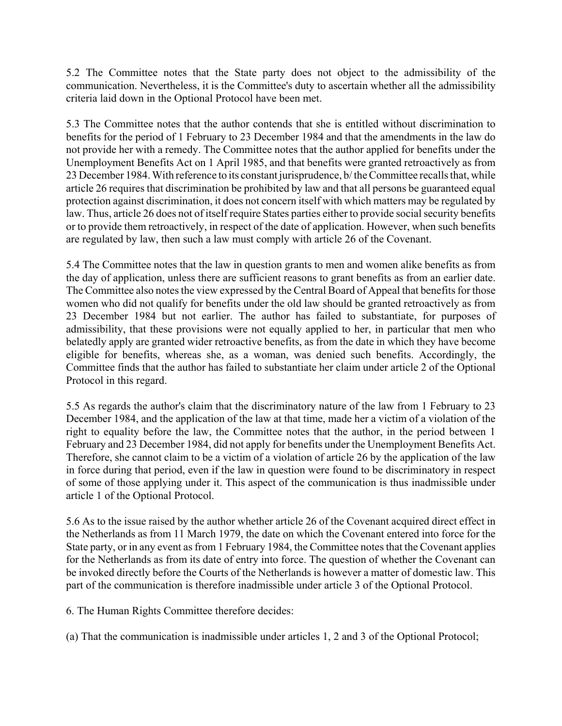5.2 The Committee notes that the State party does not object to the admissibility of the communication. Nevertheless, it is the Committee's duty to ascertain whether all the admissibility criteria laid down in the Optional Protocol have been met.

5.3 The Committee notes that the author contends that she is entitled without discrimination to benefits for the period of 1 February to 23 December 1984 and that the amendments in the law do not provide her with a remedy. The Committee notes that the author applied for benefits under the Unemployment Benefits Act on 1 April 1985, and that benefits were granted retroactively as from 23 December 1984. With reference to its constant jurisprudence, b/ the Committee recalls that, while article 26 requires that discrimination be prohibited by law and that all persons be guaranteed equal protection against discrimination, it does not concern itself with which matters may be regulated by law. Thus, article 26 does not of itself require States parties either to provide social security benefits or to provide them retroactively, in respect of the date of application. However, when such benefits are regulated by law, then such a law must comply with article 26 of the Covenant.

5.4 The Committee notes that the law in question grants to men and women alike benefits as from the day of application, unless there are sufficient reasons to grant benefits as from an earlier date. The Committee also notes the view expressed by the Central Board of Appeal that benefits for those women who did not qualify for benefits under the old law should be granted retroactively as from 23 December 1984 but not earlier. The author has failed to substantiate, for purposes of admissibility, that these provisions were not equally applied to her, in particular that men who belatedly apply are granted wider retroactive benefits, as from the date in which they have become eligible for benefits, whereas she, as a woman, was denied such benefits. Accordingly, the Committee finds that the author has failed to substantiate her claim under article 2 of the Optional Protocol in this regard.

5.5 As regards the author's claim that the discriminatory nature of the law from 1 February to 23 December 1984, and the application of the law at that time, made her a victim of a violation of the right to equality before the law, the Committee notes that the author, in the period between 1 February and 23 December 1984, did not apply for benefits under the Unemployment Benefits Act. Therefore, she cannot claim to be a victim of a violation of article 26 by the application of the law in force during that period, even if the law in question were found to be discriminatory in respect of some of those applying under it. This aspect of the communication is thus inadmissible under article 1 of the Optional Protocol.

5.6 As to the issue raised by the author whether article 26 of the Covenant acquired direct effect in the Netherlands as from 11 March 1979, the date on which the Covenant entered into force for the State party, or in any event as from 1 February 1984, the Committee notes that the Covenant applies for the Netherlands as from its date of entry into force. The question of whether the Covenant can be invoked directly before the Courts of the Netherlands is however a matter of domestic law. This part of the communication is therefore inadmissible under article 3 of the Optional Protocol.

6. The Human Rights Committee therefore decides:

(a) That the communication is inadmissible under articles 1, 2 and 3 of the Optional Protocol;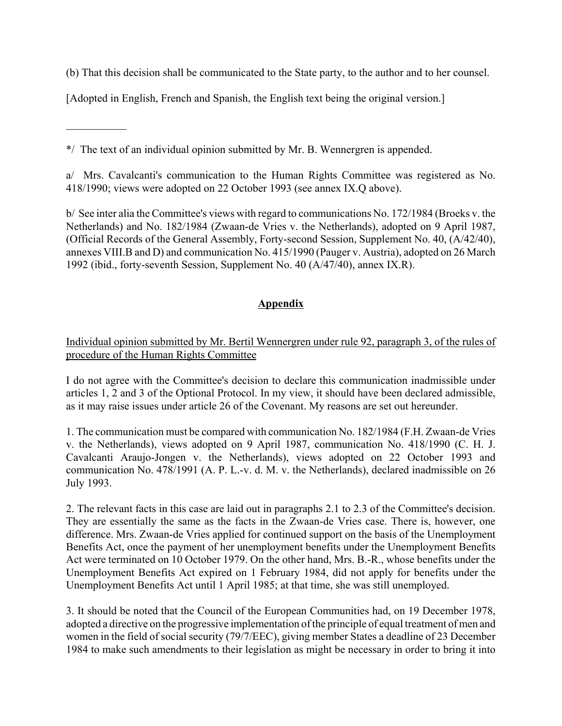(b) That this decision shall be communicated to the State party, to the author and to her counsel.

[Adopted in English, French and Spanish, the English text being the original version.]

\*/ The text of an individual opinion submitted by Mr. B. Wennergren is appended.

 $\frac{1}{2}$ 

a/ Mrs. Cavalcanti's communication to the Human Rights Committee was registered as No. 418/1990; views were adopted on 22 October 1993 (see annex IX.Q above).

b/ See inter alia the Committee's views with regard to communications No. 172/1984 (Broeks v. the Netherlands) and No. 182/1984 (Zwaan-de Vries v. the Netherlands), adopted on 9 April 1987, (Official Records of the General Assembly, Forty-second Session, Supplement No. 40, (A/42/40), annexes VIII.B and D) and communication No. 415/1990 (Pauger v. Austria), adopted on 26 March 1992 (ibid., forty-seventh Session, Supplement No. 40 (A/47/40), annex IX.R).

# **Appendix**

## Individual opinion submitted by Mr. Bertil Wennergren under rule 92, paragraph 3, of the rules of procedure of the Human Rights Committee

I do not agree with the Committee's decision to declare this communication inadmissible under articles 1, 2 and 3 of the Optional Protocol. In my view, it should have been declared admissible, as it may raise issues under article 26 of the Covenant. My reasons are set out hereunder.

1. The communication must be compared with communication No. 182/1984 (F.H. Zwaan-de Vries v. the Netherlands), views adopted on 9 April 1987, communication No. 418/1990 (C. H. J. Cavalcanti Araujo-Jongen v. the Netherlands), views adopted on 22 October 1993 and communication No. 478/1991 (A. P. L.-v. d. M. v. the Netherlands), declared inadmissible on 26 July 1993.

2. The relevant facts in this case are laid out in paragraphs 2.1 to 2.3 of the Committee's decision. They are essentially the same as the facts in the Zwaan-de Vries case. There is, however, one difference. Mrs. Zwaan-de Vries applied for continued support on the basis of the Unemployment Benefits Act, once the payment of her unemployment benefits under the Unemployment Benefits Act were terminated on 10 October 1979. On the other hand, Mrs. B.-R., whose benefits under the Unemployment Benefits Act expired on 1 February 1984, did not apply for benefits under the Unemployment Benefits Act until 1 April 1985; at that time, she was still unemployed.

3. It should be noted that the Council of the European Communities had, on 19 December 1978, adopted a directive on the progressive implementation of the principle of equal treatment of men and women in the field of social security (79/7/EEC), giving member States a deadline of 23 December 1984 to make such amendments to their legislation as might be necessary in order to bring it into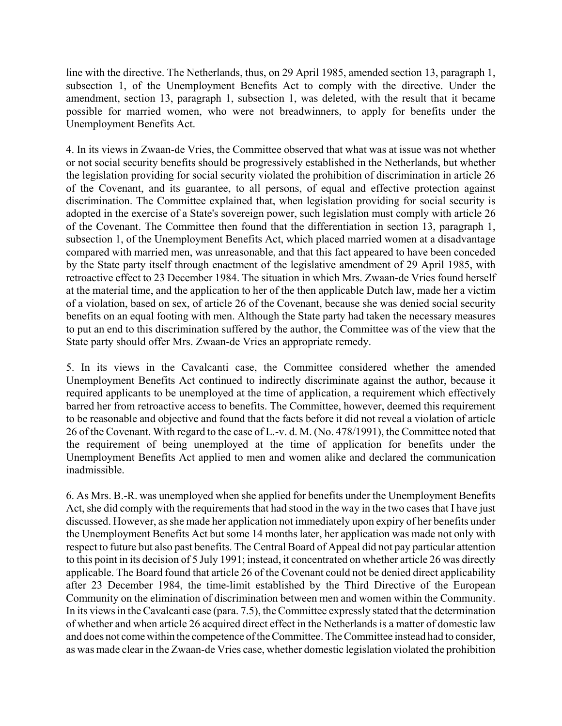line with the directive. The Netherlands, thus, on 29 April 1985, amended section 13, paragraph 1, subsection 1, of the Unemployment Benefits Act to comply with the directive. Under the amendment, section 13, paragraph 1, subsection 1, was deleted, with the result that it became possible for married women, who were not breadwinners, to apply for benefits under the Unemployment Benefits Act.

4. In its views in Zwaan-de Vries, the Committee observed that what was at issue was not whether or not social security benefits should be progressively established in the Netherlands, but whether the legislation providing for social security violated the prohibition of discrimination in article 26 of the Covenant, and its guarantee, to all persons, of equal and effective protection against discrimination. The Committee explained that, when legislation providing for social security is adopted in the exercise of a State's sovereign power, such legislation must comply with article 26 of the Covenant. The Committee then found that the differentiation in section 13, paragraph 1, subsection 1, of the Unemployment Benefits Act, which placed married women at a disadvantage compared with married men, was unreasonable, and that this fact appeared to have been conceded by the State party itself through enactment of the legislative amendment of 29 April 1985, with retroactive effect to 23 December 1984. The situation in which Mrs. Zwaan-de Vries found herself at the material time, and the application to her of the then applicable Dutch law, made her a victim of a violation, based on sex, of article 26 of the Covenant, because she was denied social security benefits on an equal footing with men. Although the State party had taken the necessary measures to put an end to this discrimination suffered by the author, the Committee was of the view that the State party should offer Mrs. Zwaan-de Vries an appropriate remedy.

5. In its views in the Cavalcanti case, the Committee considered whether the amended Unemployment Benefits Act continued to indirectly discriminate against the author, because it required applicants to be unemployed at the time of application, a requirement which effectively barred her from retroactive access to benefits. The Committee, however, deemed this requirement to be reasonable and objective and found that the facts before it did not reveal a violation of article 26 of the Covenant. With regard to the case of L.-v. d. M. (No. 478/1991), the Committee noted that the requirement of being unemployed at the time of application for benefits under the Unemployment Benefits Act applied to men and women alike and declared the communication inadmissible.

6. As Mrs. B.-R. was unemployed when she applied for benefits under the Unemployment Benefits Act, she did comply with the requirements that had stood in the way in the two cases that I have just discussed. However, as she made her application not immediately upon expiry of her benefits under the Unemployment Benefits Act but some 14 months later, her application was made not only with respect to future but also past benefits. The Central Board of Appeal did not pay particular attention to this point in its decision of 5 July 1991; instead, it concentrated on whether article 26 was directly applicable. The Board found that article 26 of the Covenant could not be denied direct applicability after 23 December 1984, the time-limit established by the Third Directive of the European Community on the elimination of discrimination between men and women within the Community. In its views in the Cavalcanti case (para. 7.5), the Committee expressly stated that the determination of whether and when article 26 acquired direct effect in the Netherlands is a matter of domestic law and does not come within the competence of the Committee. The Committee instead had to consider, as was made clear in the Zwaan-de Vries case, whether domestic legislation violated the prohibition